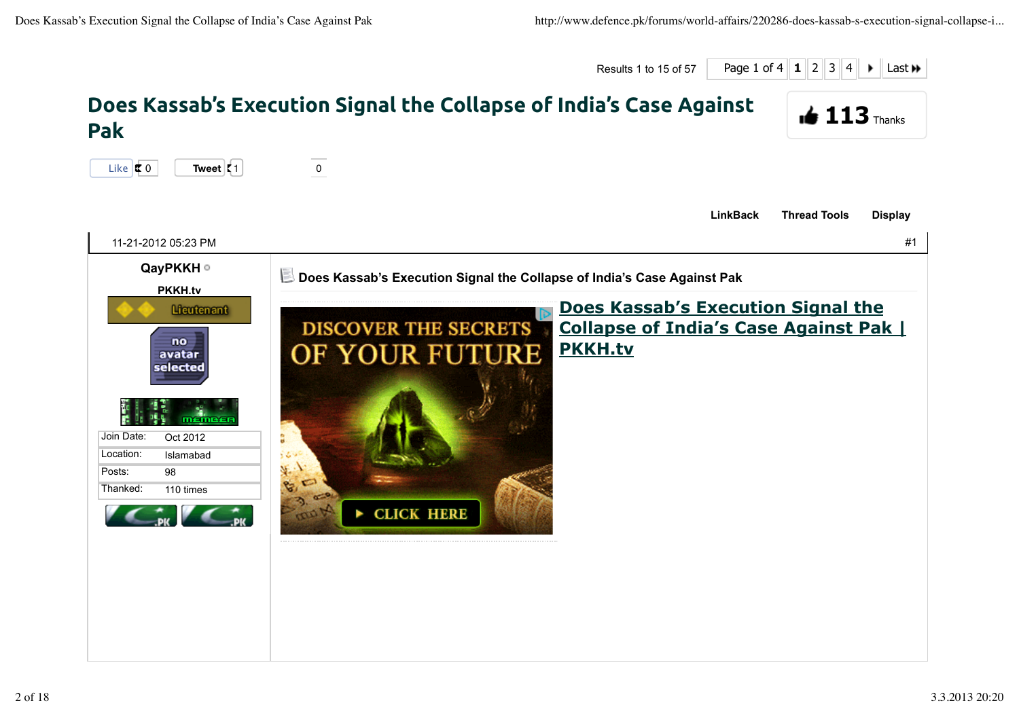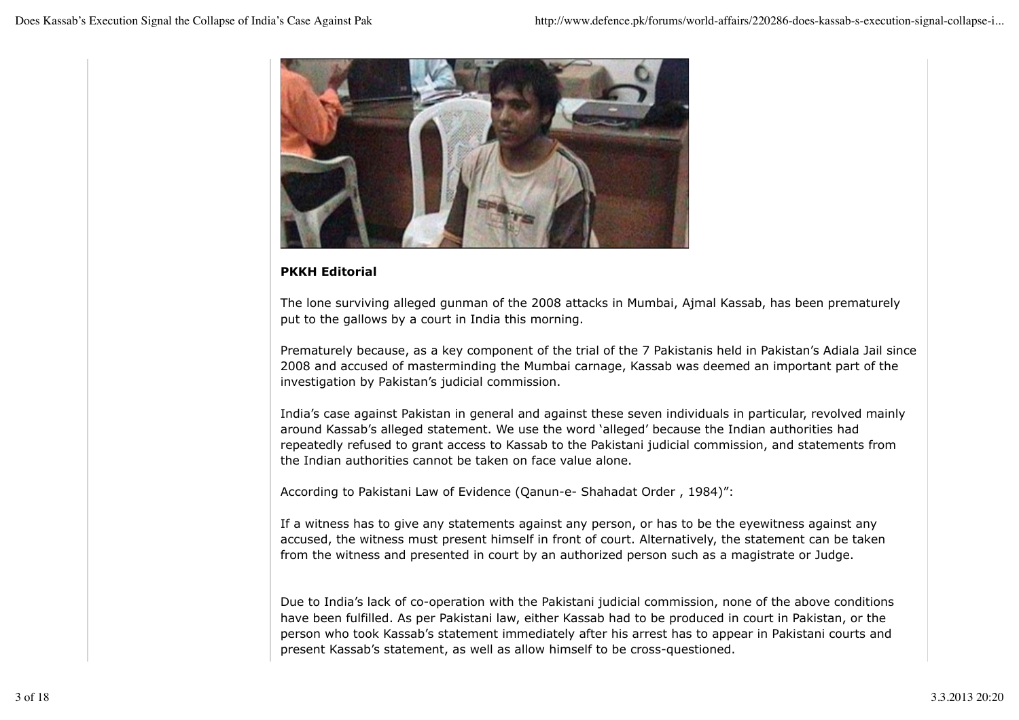

## **PKKH Editorial**

The lone surviving alleged gunman of the 2008 attacks in Mumbai, Ajmal Kassab, has been prematurely put to the gallows by a court in India this morning.

Prematurely because, as a key component of the trial of the 7 Pakistanis held in Pakistan's Adiala Jail since 2008 and accused of masterminding the Mumbai carnage, Kassab was deemed an important part of the investigation by Pakistan's judicial commission.

India's case against Pakistan in general and against these seven individuals in particular, revolved mainly around Kassab's alleged statement. We use the word 'alleged' because the Indian authorities had repeatedly refused to grant access to Kassab to the Pakistani judicial commission, and statements from the Indian authorities cannot be taken on face value alone.

According to Pakistani Law of Evidence (Qanun-e- Shahadat Order , 1984)":

If a witness has to give any statements against any person, or has to be the eyewitness against any accused, the witness must present himself in front of court. Alternatively, the statement can be taken from the witness and presented in court by an authorized person such as a magistrate or Judge.

Due to India's lack of co-operation with the Pakistani judicial commission, none of the above conditions have been fulfilled. As per Pakistani law, either Kassab had to be produced in court in Pakistan, or the person who took Kassab's statement immediately after his arrest has to appear in Pakistani courts and present Kassab's statement, as well as allow himself to be cross-questioned.